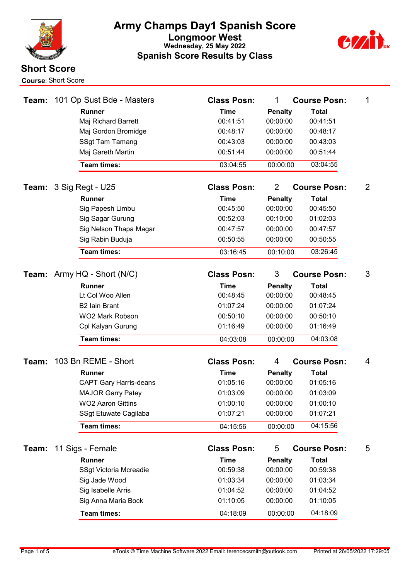



| Team: | 101 Op Sust Bde - Masters     | <b>Class Posn:</b> | $\mathbf 1$    | <b>Course Posn:</b> | 1              |
|-------|-------------------------------|--------------------|----------------|---------------------|----------------|
|       | <b>Runner</b>                 | <b>Time</b>        | <b>Penalty</b> | <b>Total</b>        |                |
|       | Maj Richard Barrett           | 00:41:51           | 00:00:00       | 00:41:51            |                |
|       | Maj Gordon Bromidge           | 00:48:17           | 00:00:00       | 00:48:17            |                |
|       | <b>SSgt Tam Tamang</b>        | 00:43:03           | 00:00:00       | 00:43:03            |                |
|       | Maj Gareth Martin             | 00:51:44           | 00:00:00       | 00:51:44            |                |
|       | Team times:                   | 03:04:55           | 00:00:00       | 03:04:55            |                |
| Team: | 3 Sig Regt - U25              | <b>Class Posn:</b> | $\overline{2}$ | <b>Course Posn:</b> | $\overline{2}$ |
|       | <b>Runner</b>                 | <b>Time</b>        | <b>Penalty</b> | <b>Total</b>        |                |
|       | Sig Papesh Limbu              | 00:45:50           | 00:00:00       | 00:45:50            |                |
|       | Sig Sagar Gurung              | 00:52:03           | 00:10:00       | 01:02:03            |                |
|       | Sig Nelson Thapa Magar        | 00:47:57           | 00:00:00       | 00:47:57            |                |
|       | Sig Rabin Buduja              | 00:50:55           | 00:00:00       | 00:50:55            |                |
|       | Team times:                   | 03:16:45           | 00:10:00       | 03:26:45            |                |
| Team: | Army HQ - Short (N/C)         | <b>Class Posn:</b> | 3              | <b>Course Posn:</b> | 3              |
|       | <b>Runner</b>                 | <b>Time</b>        | <b>Penalty</b> | <b>Total</b>        |                |
|       | Lt Col Woo Allen              | 00:48:45           | 00:00:00       | 00:48:45            |                |
|       | <b>B2 Iain Brant</b>          | 01:07:24           | 00:00:00       | 01:07:24            |                |
|       | <b>WO2 Mark Robson</b>        | 00:50:10           | 00:00:00       | 00:50:10            |                |
|       | Cpl Kalyan Gurung             | 01:16:49           | 00:00:00       | 01:16:49            |                |
|       | <b>Team times:</b>            | 04:03:08           | 00:00:00       | 04:03:08            |                |
|       |                               |                    |                |                     |                |
| Team: | 103 Bn REME - Short           | <b>Class Posn:</b> | 4              | <b>Course Posn:</b> | 4              |
|       | <b>Runner</b>                 | <b>Time</b>        | <b>Penalty</b> | <b>Total</b>        |                |
|       | <b>CAPT Gary Harris-deans</b> | 01:05:16           | 00:00:00       | 01:05:16            |                |
|       | <b>MAJOR Garry Patey</b>      | 01:03:09           | 00:00:00       | 01:03:09            |                |
|       | <b>WO2 Aaron Gittins</b>      | 01:00:10           | 00:00:00       | 01:00:10            |                |
|       | SSgt Etuwate Cagilaba         | 01:07:21           | 00:00:00       | 01:07:21            |                |
|       | Team times:                   | 04:15:56           | 00:00:00       | 04:15:56            |                |
| Team: | 11 Sigs - Female              | <b>Class Posn:</b> | 5              | <b>Course Posn:</b> | 5              |
|       | <b>Runner</b>                 | <b>Time</b>        | <b>Penalty</b> | <b>Total</b>        |                |
|       | SSgt Victoria Mcreadie        | 00:59:38           | 00:00:00       | 00:59:38            |                |
|       | Sig Jade Wood                 | 01:03:34           | 00:00:00       | 01:03:34            |                |
|       | Sig Isabelle Arris            | 01:04:52           | 00:00:00       | 01:04:52            |                |
|       | Sig Anna Maria Bock           | 01:10:05           | 00:00:00       | 01:10:05            |                |
|       | Team times:                   | 04:18:09           | 00:00:00       | 04:18:09            |                |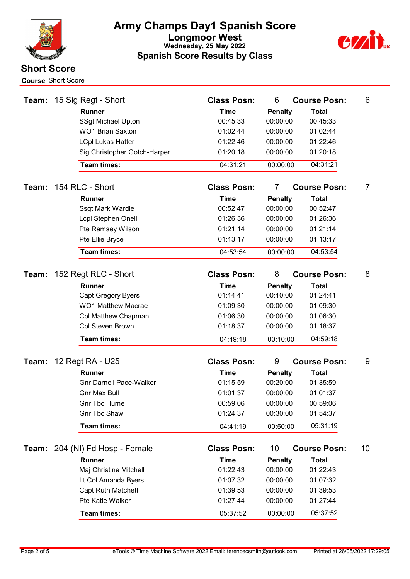



|       | <b>Team: 15 Sig Regt - Short</b>           | <b>Class Posn:</b>      | 6                          | <b>Course Posn:</b>      | 6  |
|-------|--------------------------------------------|-------------------------|----------------------------|--------------------------|----|
|       | <b>Runner</b>                              | <b>Time</b>             | <b>Penalty</b>             | <b>Total</b>             |    |
|       | <b>SSgt Michael Upton</b>                  | 00:45:33                | 00:00:00                   | 00:45:33                 |    |
|       | <b>WO1 Brian Saxton</b>                    | 01:02:44                | 00:00:00                   | 01:02:44                 |    |
|       | <b>LCpl Lukas Hatter</b>                   | 01:22:46                | 00:00:00                   | 01:22:46                 |    |
|       | Sig Christopher Gotch-Harper               | 01:20:18                | 00:00:00                   | 01:20:18                 |    |
|       | <b>Team times:</b>                         | 04:31:21                | 00:00:00                   | 04:31:21                 |    |
| Team: | 154 RLC - Short                            | <b>Class Posn:</b>      | $\overline{7}$             | <b>Course Posn:</b>      | 7  |
|       | <b>Runner</b>                              | <b>Time</b>             | <b>Penalty</b>             | <b>Total</b>             |    |
|       | Ssgt Mark Wardle                           | 00:52:47                | 00:00:00                   | 00:52:47                 |    |
|       | <b>Lcpl Stephen Oneill</b>                 | 01:26:36                | 00:00:00                   | 01:26:36                 |    |
|       | Pte Ramsey Wilson                          | 01:21:14                | 00:00:00                   | 01:21:14                 |    |
|       | Pte Ellie Bryce                            | 01:13:17                | 00:00:00                   | 01:13:17                 |    |
|       | <b>Team times:</b>                         | 04:53:54                | 00:00:00                   | 04:53:54                 |    |
| Team: | 152 Regt RLC - Short                       | <b>Class Posn:</b>      | 8                          | <b>Course Posn:</b>      | 8  |
|       |                                            |                         |                            |                          |    |
|       | <b>Runner</b><br><b>Capt Gregory Byers</b> | <b>Time</b><br>01:14:41 | <b>Penalty</b><br>00:10:00 | <b>Total</b><br>01:24:41 |    |
|       | <b>WO1 Matthew Macrae</b>                  | 01:09:30                | 00:00:00                   | 01:09:30                 |    |
|       | Cpl Matthew Chapman                        | 01:06:30                | 00:00:00                   | 01:06:30                 |    |
|       | Cpl Steven Brown                           | 01:18:37                | 00:00:00                   | 01:18:37                 |    |
|       |                                            |                         |                            |                          |    |
|       | <b>Team times:</b>                         | 04:49:18                | 00:10:00                   | 04:59:18                 |    |
| Team: | 12 Regt RA - U25                           | <b>Class Posn:</b>      | 9                          | <b>Course Posn:</b>      | 9  |
|       | <b>Runner</b>                              | <b>Time</b>             | <b>Penalty</b>             | <b>Total</b>             |    |
|       | <b>Gnr Darnell Pace-Walker</b>             | 01:15:59                | 00:20:00                   | 01:35:59                 |    |
|       | Gnr Max Bull                               | 01:01:37                | 00:00:00                   | 01:01:37                 |    |
|       | <b>Gnr Tbc Hume</b>                        | 00:59:06                | 00:00:00                   | 00:59:06                 |    |
|       | <b>Gnr Tbc Shaw</b>                        | 01:24:37                | 00:30:00                   | 01:54:37                 |    |
|       | Team times:                                | 04:41:19                | 00:50:00                   | 05:31:19                 |    |
|       | Team: 204 (NI) Fd Hosp - Female            | <b>Class Posn:</b>      | 10                         | <b>Course Posn:</b>      | 10 |
|       | <b>Runner</b>                              | <b>Time</b>             | <b>Penalty</b>             | <b>Total</b>             |    |
|       | Maj Christine Mitchell                     | 01:22:43                | 00:00:00                   | 01:22:43                 |    |
|       | Lt Col Amanda Byers                        | 01:07:32                | 00:00:00                   | 01:07:32                 |    |
|       | <b>Capt Ruth Matchett</b>                  | 01:39:53                | 00:00:00                   | 01:39:53                 |    |
|       | Pte Katie Walker                           | 01:27:44                | 00:00:00                   | 01:27:44                 |    |
|       | Team times:                                | 05:37:52                | 00:00:00                   | 05:37:52                 |    |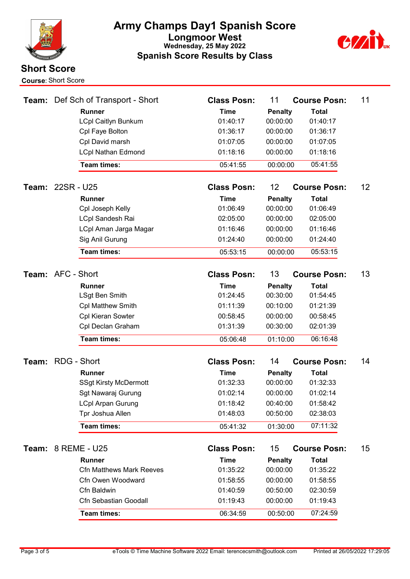



|                          | <b>Team:</b> Def Sch of Transport - Short | <b>Class Posn:</b> | 11             | <b>Course Posn:</b> | 11              |
|--------------------------|-------------------------------------------|--------------------|----------------|---------------------|-----------------|
|                          | <b>Runner</b>                             | <b>Time</b>        | <b>Penalty</b> | <b>Total</b>        |                 |
|                          | <b>LCpl Caitlyn Bunkum</b>                | 01:40:17           | 00:00:00       | 01:40:17            |                 |
|                          | Cpl Faye Bolton                           | 01:36:17           | 00:00:00       | 01:36:17            |                 |
|                          | Cpl David marsh                           | 01:07:05           | 00:00:00       | 01:07:05            |                 |
|                          | <b>LCpl Nathan Edmond</b>                 | 01:18:16           | 00:00:00       | 01:18:16            |                 |
|                          | Team times:                               | 05:41:55           | 00:00:00       | 05:41:55            |                 |
| Team: 22SR - U25         |                                           | <b>Class Posn:</b> | 12             | <b>Course Posn:</b> | 12 <sup>°</sup> |
|                          | <b>Runner</b>                             | <b>Time</b>        | <b>Penalty</b> | <b>Total</b>        |                 |
|                          | Cpl Joseph Kelly                          | 01:06:49           | 00:00:00       | 01:06:49            |                 |
|                          | LCpl Sandesh Rai                          | 02:05:00           | 00:00:00       | 02:05:00            |                 |
|                          | LCpl Aman Jarga Magar                     | 01:16:46           | 00:00:00       | 01:16:46            |                 |
|                          | Sig Anil Gurung                           | 01:24:40           | 00:00:00       | 01:24:40            |                 |
|                          | Team times:                               | 05:53:15           | 00:00:00       | 05:53:15            |                 |
|                          |                                           |                    |                |                     |                 |
| Team: AFC - Short        |                                           | <b>Class Posn:</b> | 13             | <b>Course Posn:</b> | 13              |
|                          | <b>Runner</b>                             | <b>Time</b>        | <b>Penalty</b> | <b>Total</b>        |                 |
|                          | LSgt Ben Smith                            | 01:24:45           | 00:30:00       | 01:54:45            |                 |
|                          | <b>Cpl Matthew Smith</b>                  | 01:11:39           | 00:10:00       | 01:21:39            |                 |
|                          | Cpl Kieran Sowter                         | 00:58:45           | 00:00:00       | 00:58:45            |                 |
|                          | Cpl Declan Graham                         | 01:31:39           | 00:30:00       | 02:01:39            |                 |
|                          | Team times:                               | 05:06:48           | 01:10:00       | 06:16:48            |                 |
| <b>Team: RDG - Short</b> |                                           | <b>Class Posn:</b> | 14             | <b>Course Posn:</b> | 14              |
|                          | <b>Runner</b>                             | <b>Time</b>        | <b>Penalty</b> | <b>Total</b>        |                 |
|                          | <b>SSgt Kirsty McDermott</b>              | 01:32:33           | 00:00:00       | 01:32:33            |                 |
|                          | Sgt Nawaraj Gurung                        | 01:02:14           | 00:00:00       | 01:02:14            |                 |
|                          | <b>LCpl Arpan Gurung</b>                  | 01:18:42           | 00:40:00       | 01:58:42            |                 |
|                          | Tpr Joshua Allen                          | 01:48:03           | 00:50:00       | 02:38:03            |                 |
|                          | Team times:                               | 05:41:32           | 01:30:00       | 07:11:32            |                 |
| Team:                    | 8 REME - U25                              | <b>Class Posn:</b> | 15             | <b>Course Posn:</b> | 15 <sub>2</sub> |
|                          | <b>Runner</b>                             | <b>Time</b>        | <b>Penalty</b> | <b>Total</b>        |                 |
|                          | <b>Cfn Matthews Mark Reeves</b>           | 01:35:22           | 00:00:00       | 01:35:22            |                 |
|                          | Cfn Owen Woodward                         | 01:58:55           | 00:00:00       | 01:58:55            |                 |
|                          | Cfn Baldwin                               | 01:40:59           | 00:50:00       | 02:30:59            |                 |
|                          | Cfn Sebastian Goodall                     | 01:19:43           | 00:00:00       | 01:19:43            |                 |
|                          | Team times:                               | 06:34:59           | 00:50:00       | 07:24:59            |                 |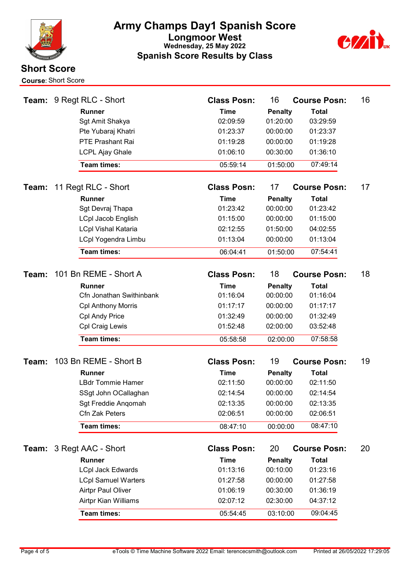



| Team: | 9 Regt RLC - Short         | <b>Class Posn:</b> | 16             | <b>Course Posn:</b> | 16 |
|-------|----------------------------|--------------------|----------------|---------------------|----|
|       | <b>Runner</b>              | <b>Time</b>        | <b>Penalty</b> | <b>Total</b>        |    |
|       | Sgt Amit Shakya            | 02:09:59           | 01:20:00       | 03:29:59            |    |
|       | Pte Yubaraj Khatri         | 01:23:37           | 00:00:00       | 01:23:37            |    |
|       | PTE Prashant Rai           | 01:19:28           | 00:00:00       | 01:19:28            |    |
|       | <b>LCPL Ajay Ghale</b>     | 01:06:10           | 00:30:00       | 01:36:10            |    |
|       | Team times:                | 05:59:14           | 01:50:00       | 07:49:14            |    |
| Team: | 11 Regt RLC - Short        | <b>Class Posn:</b> | 17             | <b>Course Posn:</b> | 17 |
|       | <b>Runner</b>              | <b>Time</b>        | <b>Penalty</b> | <b>Total</b>        |    |
|       | Sgt Devraj Thapa           | 01:23:42           | 00:00:00       | 01:23:42            |    |
|       | <b>LCpl Jacob English</b>  | 01:15:00           | 00:00:00       | 01:15:00            |    |
|       | <b>LCpl Vishal Kataria</b> | 02:12:55           | 01:50:00       | 04:02:55            |    |
|       | <b>LCpl Yogendra Limbu</b> | 01:13:04           | 00:00:00       | 01:13:04            |    |
|       | Team times:                | 06:04:41           | 01:50:00       | 07:54:41            |    |
| Team: | 101 Bn REME - Short A      | <b>Class Posn:</b> | 18             | <b>Course Posn:</b> | 18 |
|       | <b>Runner</b>              | <b>Time</b>        | <b>Penalty</b> | <b>Total</b>        |    |
|       | Cfn Jonathan Swithinbank   | 01:16:04           | 00:00:00       | 01:16:04            |    |
|       | <b>Cpl Anthony Morris</b>  | 01:17:17           | 00:00:00       | 01:17:17            |    |
|       | Cpl Andy Price             | 01:32:49           | 00:00:00       | 01:32:49            |    |
|       | Cpl Craig Lewis            | 01:52:48           | 02:00:00       | 03:52:48            |    |
|       | Team times:                | 05:58:58           | 02:00:00       | 07:58:58            |    |
|       |                            |                    |                |                     |    |
| Team: | 103 Bn REME - Short B      | <b>Class Posn:</b> | 19             | <b>Course Posn:</b> | 19 |
|       | <b>Runner</b>              | <b>Time</b>        | <b>Penalty</b> | <b>Total</b>        |    |
|       | <b>LBdr Tommie Hamer</b>   | 02:11:50           | 00:00:00       | 02:11:50            |    |
|       | SSgt John OCallaghan       | 02:14:54           | 00:00:00       | 02:14:54            |    |
|       | Sgt Freddie Angomah        | 02:13:35           | 00:00:00       | 02:13:35            |    |
|       | Cfn Zak Peters             | 02:06:51           | 00:00:00       | 02:06:51            |    |
|       | Team times:                | 08:47:10           | 00:00:00       | 08:47:10            |    |
| Team: | 3 Regt AAC - Short         | <b>Class Posn:</b> | 20             | <b>Course Posn:</b> | 20 |
|       | Runner                     | <b>Time</b>        | <b>Penalty</b> | <b>Total</b>        |    |
|       | <b>LCpl Jack Edwards</b>   | 01:13:16           | 00:10:00       | 01:23:16            |    |
|       | <b>LCpl Samuel Warters</b> | 01:27:58           | 00:00:00       | 01:27:58            |    |
|       | <b>Airtpr Paul Oliver</b>  | 01:06:19           | 00:30:00       | 01:36:19            |    |
|       | Airtpr Kian Williams       | 02:07:12           | 02:30:00       | 04:37:12            |    |
|       | Team times:                | 05:54:45           | 03:10:00       | 09:04:45            |    |